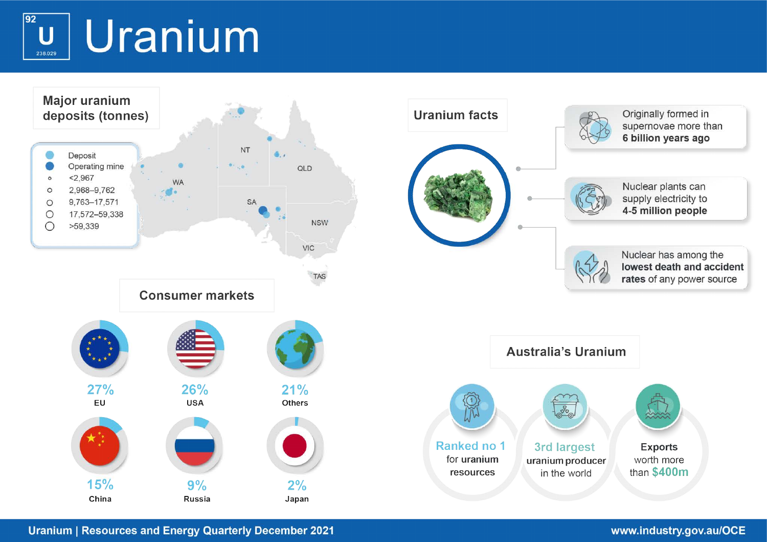$\overline{92}$ Uranium U 238.029



**Uranium | Resources and Energy Quarterly December 2021**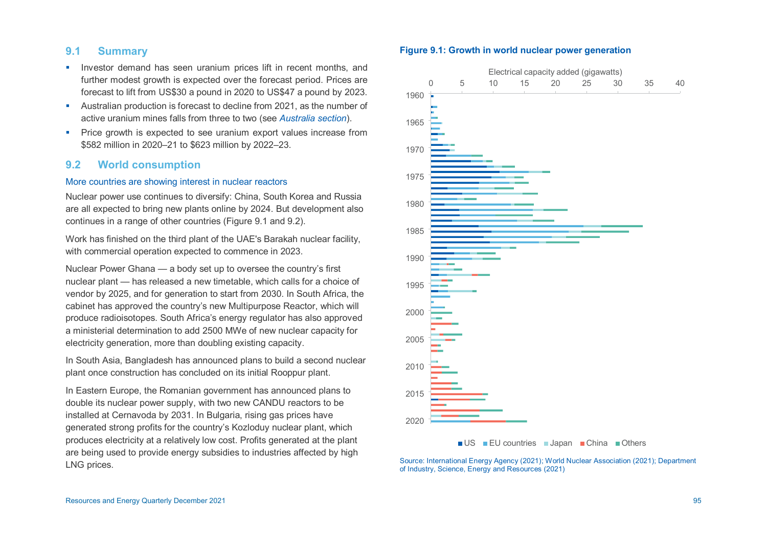## **9.1 Summary**

- **Investor demand has seen uranium prices lift in recent months, and** further modest growth is expected over the forecast period. Prices are forecast to lift from US\$30 a pound in 2020 to US\$47 a pound by 2023.
- Australian production is forecast to decline from 2021, as the number of active uranium mines falls from three to two (see *Australia section*).
- **Price growth is expected to see uranium export values increase from** \$582 million in 2020–21 to \$623 million by 2022–23.

# **9.2 World consumption**

### More countries are showing interest in nuclear reactors

Nuclear power use continues to diversify: China, South Korea and Russia are all expected to bring new plants online by 2024. But development also continues in a range of other countries (Figure 9.1 and 9.2).

Work has finished on the third plant of the UAE's Barakah nuclear facility, with commercial operation expected to commence in 2023.

Nuclear Power Ghana — a body set up to oversee the country's first nuclear plant — has released a new timetable, which calls for a choice of vendor by 2025, and for generation to start from 2030. In South Africa, the cabinet has approved the country's new Multipurpose Reactor, which will produce radioisotopes. South Africa's energy regulator has also approved a ministerial determination to add 2500 MWe of new nuclear capacity for electricity generation, more than doubling existing capacity.

In South Asia, Bangladesh has announced plans to build a second nuclear plant once construction has concluded on its initial Rooppur plant.

In Eastern Europe, the Romanian government has announced plans to double its nuclear power supply, with two new CANDU reactors to be installed at Cernavoda by 2031. In Bulgaria, rising gas prices have generated strong profits for the country's Kozloduy nuclear plant, which produces electricity at a relatively low cost. Profits generated at the plant are being used to provide energy subsidies to industries affected by high LNG prices.





Source: International Energy Agency (2021); World Nuclear Association (2021); Department of Industry, Science, Energy and Resources (2021)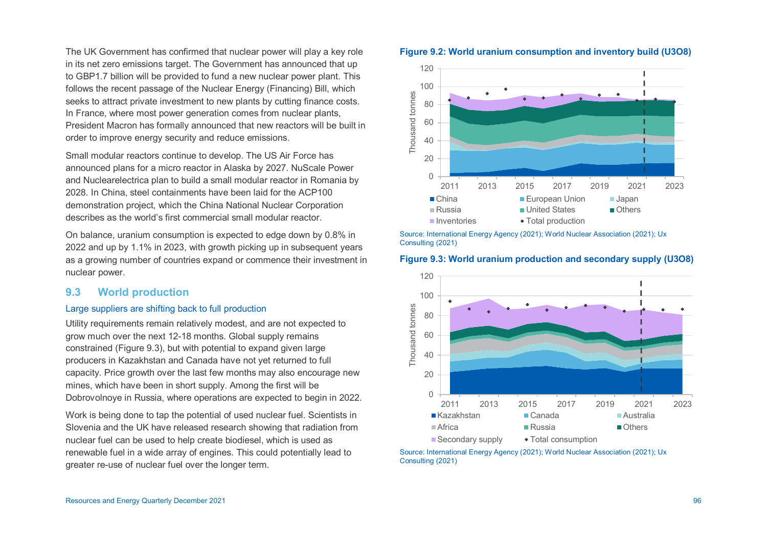The UK Government has confirmed that nuclear power will play a key role in its net zero emissions target. The Government has announced that up to GBP1.7 billion will be provided to fund a new nuclear power plant. This follows the recent passage of the Nuclear Energy (Financing) Bill, which seeks to attract private investment to new plants by cutting finance costs. In France, where most power generation comes from nuclear plants, President Macron has formally announced that new reactors will be built in order to improve energy security and reduce emissions.

Small modular reactors continue to develop. The US Air Force has announced plans for a micro reactor in Alaska by 2027. NuScale Power and Nuclearelectrica plan to build a small modular reactor in Romania by 2028. In China, steel containments have been laid for the ACP100 demonstration project, which the China National Nuclear Corporation describes as the world's first commercial small modular reactor.

On balance, uranium consumption is expected to edge down by 0.8% in 2022 and up by 1.1% in 2023, with growth picking up in subsequent years as a growing number of countries expand or commence their investment in nuclear power.

# **9.3 World production**

### Large suppliers are shifting back to full production

Utility requirements remain relatively modest, and are not expected to grow much over the next 12-18 months. Global supply remains constrained (Figure 9.3), but with potential to expand given large producers in Kazakhstan and Canada have not yet returned to full capacity. Price growth over the last few months may also encourage new mines, which have been in short supply. Among the first will be Dobrovolnoye in Russia, where operations are expected to begin in 2022.

Work is being done to tap the potential of used nuclear fuel. Scientists in Slovenia and the UK have released research showing that radiation from nuclear fuel can be used to help create biodiesel, which is used as renewable fuel in a wide array of engines. This could potentially lead to greater re-use of nuclear fuel over the longer term.





Source: International Energy Agency (2021); World Nuclear Association (2021); Ux Consulting (2021)





Source: International Energy Agency (2021); World Nuclear Association (2021); Ux Consulting (2021)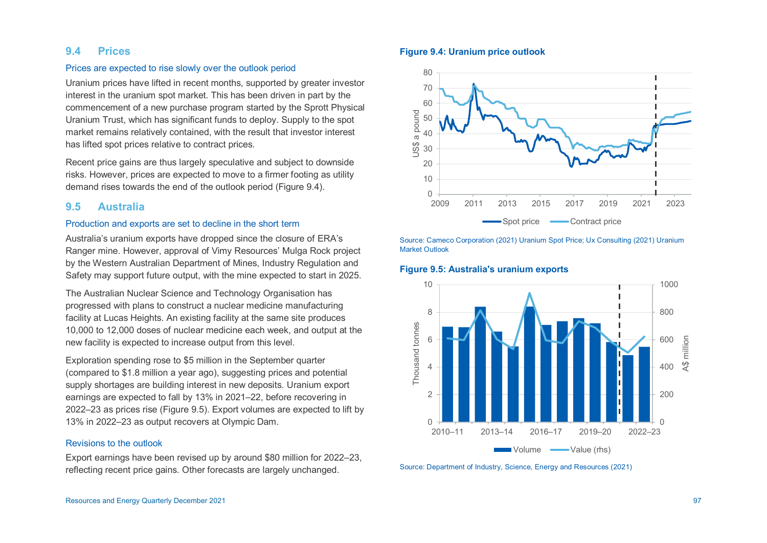## **9.4 Prices**

#### Prices are expected to rise slowly over the outlook period

Uranium prices have lifted in recent months, supported by greater investor interest in the uranium spot market. This has been driven in part by the commencement of a new purchase program started by the Sprott Physical Uranium Trust, which has significant funds to deploy. Supply to the spot market remains relatively contained, with the result that investor interest has lifted spot prices relative to contract prices.

Recent price gains are thus largely speculative and subject to downside risks. However, prices are expected to move to a firmer footing as utility demand rises towards the end of the outlook period (Figure 9.4).

### **9.5 Australia**

#### Production and exports are set to decline in the short term

Australia's uranium exports have dropped since the closure of ERA's Ranger mine. However, approval of Vimy Resources' Mulga Rock project by the Western Australian Department of Mines, Industry Regulation and Safety may support future output, with the mine expected to start in 2025.

The Australian Nuclear Science and Technology Organisation has progressed with plans to construct a nuclear medicine manufacturing facility at Lucas Heights. An existing facility at the same site produces 10,000 to 12,000 doses of nuclear medicine each week, and output at the new facility is expected to increase output from this level.

Exploration spending rose to \$5 million in the September quarter (compared to \$1.8 million a year ago), suggesting prices and potential supply shortages are building interest in new deposits. Uranium export earnings are expected to fall by 13% in 2021–22, before recovering in 2022–23 as prices rise (Figure 9.5). Export volumes are expected to lift by 13% in 2022–23 as output recovers at Olympic Dam.

#### Revisions to the outlook

Export earnings have been revised up by around \$80 million for 2022–23, reflecting recent price gains. Other forecasts are largely unchanged.

#### **Figure 9.4: Uranium price outlook**



Source: Cameco Corporation (2021) Uranium Spot Price; Ux Consulting (2021) Uranium Market Outlook